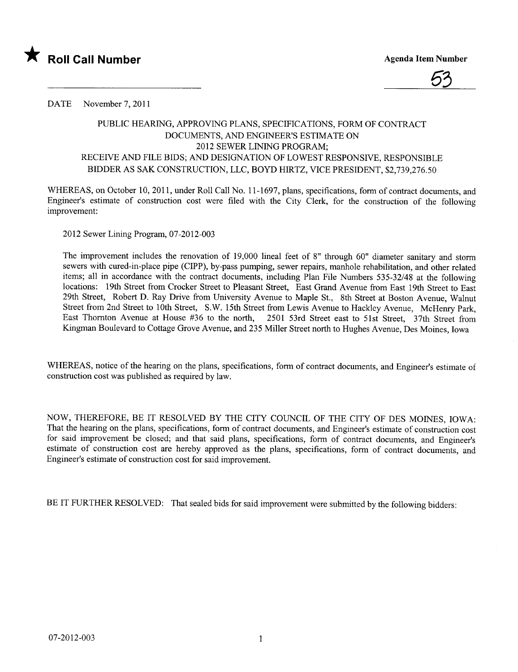



DATE November 7, 2011

## PUBLIC HEARIG, APPROVING PLANS, SPECIFICATIONS, FORM OF CONTRACT DOCUMENTS, AND ENGINEER'S ESTIMATE ON 2012 SEWER LINING PROGRAM; RECEIVE AND FILE BIDS; AND DESIGNATION OF LOWEST RESPONSIVE, RESPONSIBLE BIDDER AS SAK CONSTRUCTION, LLC, BOYD HIRTZ, VICE PRESIDENT, \$2,739,276.50

WHEREAS, on October 10, 2011, under Roll Call No. 11-1697, plans, specifications, form of contract documents, and Engineer's estimate of construction cost were fied with the City Clerk, for the construction of the following improvement:

2012 Sewer Lining Program, 07-2012-003

The improvement includes the renovation of 19,000 lineal feet of 8" through 60" diameter sanitary and storm sewers with cured-in-place pipe (CIPP), by-pass pumping, sewer repairs, manhole rehabilitation, and other related items; all in accordance with the contract documents, including Plan File Numbers 535-32/48 at the following locations: 19th Street from Crocker Street to Pleasant Street, East Grand Avenue from East 19th Street to East 29th Street, Robert D. Ray Drive from University Avenue to Maple St., 8th Street at Boston Avenue, Walnut Street from 2nd Street to 10th Street, S.W. 15th Street from Lewis Avenue to Hackley Avenue, McHenry Park, East Thornton Avenue at House #36 to the north, 2501 53rd Street east to 51st Street, 37th Street from Kingman Boulevard to Cottage Grove Avenue, and 235 Miler Street north to Hughes Avenue, Des Moines, Iowa

WHEREAS, notice of the hearing on the plans, specifications, form of contract documents, and Engineer's estimate of construction cost was published as required by law.

NOW, THEREFORE, BE IT RESOLVED BY THE CITY COUNCIL OF THE CITY OF DES MOINES, IOWA: That the hearing on the plans, specifications, form of contract documents, and Engineer's estimate of construction cost for said improvement be closed; and that said plans, specifications, form of contract documents, and Engineer's estimate of construction cost are hereby approved as the plans, specifications, form of contract documents, and Engineer's estimate of construction cost for said improvement.

BE IT FURTHER RESOLVED: That sealed bids for said improvement were submitted by the following bidders: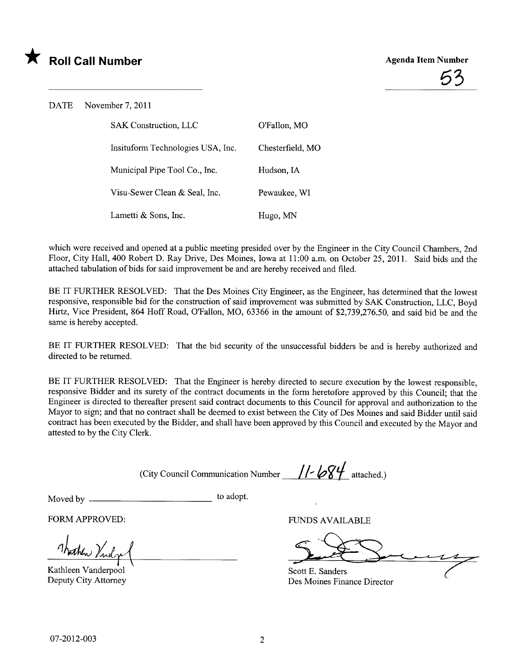



DATE November 7, 2011

| <b>SAK Construction, LLC</b>      | O'Fallon, MO     |
|-----------------------------------|------------------|
| Insituform Technologies USA, Inc. | Chesterfield, MO |
| Municipal Pipe Tool Co., Inc.     | Hudson, IA       |
| Visu-Sewer Clean & Seal, Inc.     | Pewaukee, WI     |
| Lametti & Sons, Inc.              | Hugo, MN         |

which were received and opened at a public meeting presided over by the Engineer in the City Council Chambers, 2nd Floor, City Hall, 400 Robert D. Ray Drive, Des Moines, Iowa at 11:00 a.m. on October 25,2011. Said bids and the attached tabulation of bids for said improvement be and are hereby received and filed.

BE IT FURTHER RESOLVED: That the Des Moines City Engineer, as the Engineer, has determined that the lowest responsive, responsible bid for the construction of said improvement was submitted by SAK Construction, LLC, Boyd Hirtz, Vice President, 864 Hoff Road, O'Fallon, MO, 63366 in the amount of \$2,739,276.50, and said bid be and the same is hereby accepted.

BE IT FURTHER RESOLVED: That the bid security of the unsuccessful bidders be and is hereby authorized and directed to be returned.

BE IT FURTHER RESOLVED: That the Engineer is hereby directed to secure execution by the lowest responsible, responsive Bidder and its surety of the contract documents in the form heretofore approved by this Council; that the Engineer is directed to thereafter present said contract documents to this Council for approval and authorization to the Mayor to sign; and that no contract shall be deemed to exist between the City of Des Moines and said Bidder until said contract has been executed by the Bidder, and shall have been approved by this Council and executed by the Mayor and attested to by the City Clerk.

(City Council Communication Number  $/$ /- $/$  $/$ 

Moved by to adopt.

FORM APPROVED: FUNDS AVAILABLE

1 hotele Virdge

Kathleen Vanderpool

Deputy City Attorney Des Moines Finance Director Scott E. Sanders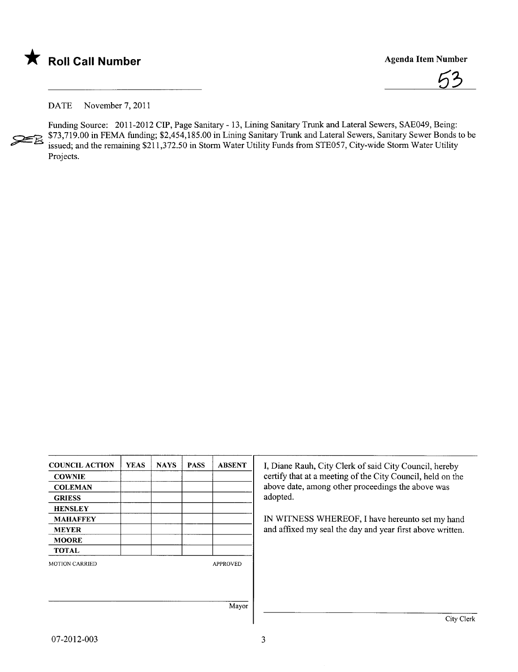



DATE November 7, 2011

Funding Source: 2011-2012 CIP, Page Sanitary - 13, Lining Sanitary Trunk and Lateral Sewers, SAE049, Being: ~ \$73,719.00 in FEMA funding; \$2,454,185.00 in Lining Sanitary Trunk and Lateral Sewers, Sanitary Sewer Bonds to be issued; and the remaining \$211,372.50 in Storm Water Utility Funds from STE057, City-wide Storm Water Utility Projects.

| <b>COUNCIL ACTION</b> | <b>YEAS</b> | <b>NAYS</b> | <b>PASS</b> | <b>ABSENT</b>   | I, Diane Rauh, City Clerk of said City Council, hereby     |
|-----------------------|-------------|-------------|-------------|-----------------|------------------------------------------------------------|
| <b>COWNIE</b>         |             |             |             |                 | certify that at a meeting of the City Council, held on the |
| <b>COLEMAN</b>        |             |             |             |                 | above date, among other proceedings the above was          |
| <b>GRIESS</b>         |             |             |             |                 | adopted.                                                   |
| <b>HENSLEY</b>        |             |             |             |                 |                                                            |
| <b>MAHAFFEY</b>       |             |             |             |                 | IN WITNESS WHEREOF, I have hereunto set my hand            |
| <b>MEYER</b>          |             |             |             |                 | and affixed my seal the day and year first above written.  |
| <b>MOORE</b>          |             |             |             |                 |                                                            |
| <b>TOTAL</b>          |             |             |             |                 |                                                            |
| <b>MOTION CARRIED</b> |             |             |             | <b>APPROVED</b> |                                                            |
|                       |             |             |             |                 |                                                            |
|                       |             |             |             |                 |                                                            |
|                       |             |             |             | Mayor           |                                                            |
|                       |             |             |             |                 | City Clerk                                                 |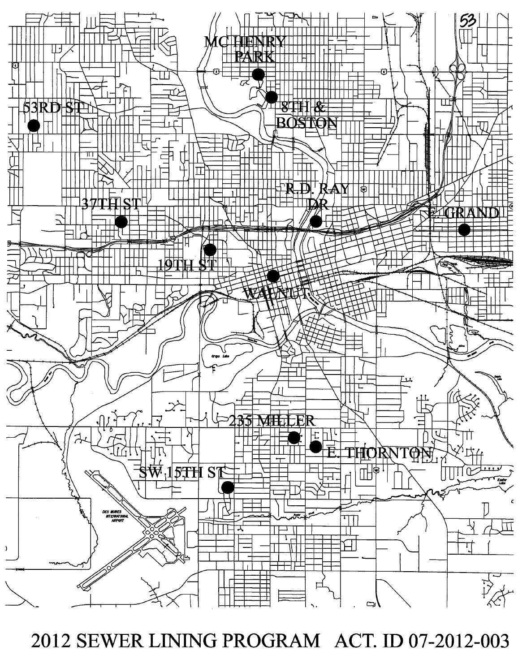

2012 SEWER LINING PROGRAM ACT. ID 07-2012-003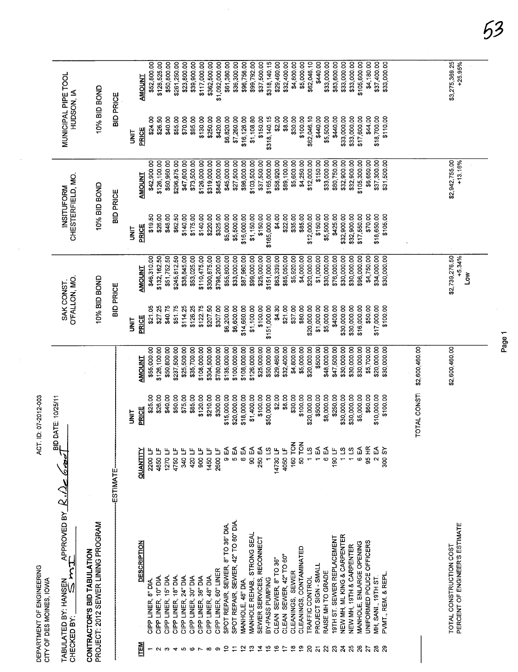| DEPARTMENT OF ENGINEERING<br>CITY OF DES MOINES, IOWA | $\frac{a}{b}$<br>APPROVED BY $R.A$<br>TABULATED BY: HANSEN<br>CHECKED BY: | PROJECT: 2012 SEWER LINING PROGRAM<br>CONTRACTOR'S BID TABULATION | ESTIMATE         |             | <b>QUANTITY</b><br><b>DESCRIPTION</b> | 2200 LF<br>CIPP LINER, 8" DIA. | 4850 LF<br>CIPP LINER, 10" DIA. | 1270 $LF$<br>4750LF<br>CIPP LINER, 15" DIA.<br>CIPP LINER, 18" DIA. | 11 0#S<br>CIPP LINER, 24" DIA. | 420 LF<br>CIPP LINER, 30" DIA | 11 006<br>CIPP LINER, 36" DIA | 1450 LF<br>CIPP LINER, 48" DIA. | 2600 LF<br>CIPP LINER, 60" LINER | ⊉<br>$\overline{\mathbf{e}}$<br>SPOT REPAIR, SEWER, 8" TO 36" DIA | 5 EA<br>SPOT REPAIR, SEWER, 42" TO 60" DIA | e<br>€<br>MANHOLE, 48" DIA. | SO EA<br>MANHOLE REHAB., STRONG SEAL | 250 EA<br>11S<br>SEWER SERVICES, RECONNECT<br>BY-PASS PUMPING | 14730 LF<br>CLEAN SEWER, 8" TO 36" | 4050 LF<br>CLEAN SEWER, 42" TO 60" | 160 TON<br>CLEANINGS, SEWER | 50 TON<br>CLEANINGS, CONTAMINATED | $\frac{1}{2}$<br><b>TRAFFIC CONTROL</b> | ₹<br>PROJECT SIGN - SMALL | 6 EA<br>RAISE MH TO GRADE | 190 LF<br>19TH ST. SEWER REPLACEMENT | 11S<br>NEW MH, ML KING & CARPENTER | 6 EA<br>115<br>NEW MH, 19TH & CARPENTER | 95 HR<br>UNIFORMED POLICE OFFICERS<br><b>MANHOLE, ENLARGE OPENING</b> | ี<br>2<br>ผ<br><b>MH, SANI.</b> 19TH ST | 300 SY<br>PVMT., REM. & REPL |                | PERCENT OF ENGINEER'S ESTIMATE<br>TOTAL CONSTRUCTION COST |  |
|-------------------------------------------------------|---------------------------------------------------------------------------|-------------------------------------------------------------------|------------------|-------------|---------------------------------------|--------------------------------|---------------------------------|---------------------------------------------------------------------|--------------------------------|-------------------------------|-------------------------------|---------------------------------|----------------------------------|-------------------------------------------------------------------|--------------------------------------------|-----------------------------|--------------------------------------|---------------------------------------------------------------|------------------------------------|------------------------------------|-----------------------------|-----------------------------------|-----------------------------------------|---------------------------|---------------------------|--------------------------------------|------------------------------------|-----------------------------------------|-----------------------------------------------------------------------|-----------------------------------------|------------------------------|----------------|-----------------------------------------------------------|--|
| ACT. ID: 07-2012-003                                  | DATE: 10/25/11                                                            |                                                                   |                  | is<br>S     | PRICE                                 | \$25.00                        | \$26.00                         | \$40.00<br>\$50.00                                                  | \$75.00                        | \$85.00                       | \$120.00                      | \$210.00                        | \$300.00                         | \$15,000.00                                                       | \$20,000.00                                | \$18,000.00                 | \$1,400.00                           | \$100.00<br>\$50,000.00                                       | \$2.00                             | \$8.00                             | \$30.00                     | \$100.00                          | \$20,000.00                             | \$500.00                  | \$8,000.00                | \$250.00                             | \$30,000.00                        | \$30,000.00                             | \$5,000.00<br>\$60.00                                                 | \$10,000.00                             | \$100.00                     | TOTAL CONSTI   |                                                           |  |
|                                                       |                                                                           |                                                                   |                  |             | <b>AMOUNT</b>                         | \$55,000.00                    | \$126,100.00                    | \$50,800.00                                                         | \$237,500.00<br>\$25,500.00    | \$35,700.00                   | \$108,000.00                  | \$304,500.00                    | \$780,000.00                     | \$135,000.00                                                      | \$100,000.00                               | \$108,000.00                | \$126,000.00                         | \$25,000.00                                                   | \$50,000.00<br>\$29,460.00         | \$32,400.00                        | \$4,800.00                  | \$5,000.00                        | \$20,000.00                             | \$500.00                  | \$48,000.00               | \$47,500.00                          | \$30,000.00                        | \$30,000.00                             | \$30,000.00<br>\$5,700.00                                             | \$20,000.00                             | \$30,000.00                  | \$2,600,460.00 | \$2,600,460.00                                            |  |
|                                                       | O'FALLON, MO.<br>SAK CONST.                                               | 10% BID BOND                                                      | <b>BID PRICE</b> | i<br>3      | PRICE                                 | \$21.05                        | \$27.25                         | \$40.75                                                             | \$51.75<br>\$114.25            | \$126.25                      | \$122.75                      | \$207.50                        | \$307.00                         | \$6,200.00                                                        | \$6,600.00                                 | \$14,660.00                 | \$1,100.00                           | \$151,000.00<br>\$100.00                                      | \$4.30                             | \$21.00                            | \$37.00                     | \$80.00                           | \$20,000.00                             | \$1,000.00                | \$5,000.00                | \$400.00                             | \$30,000.00                        | \$30,000.00                             | \$50.00<br>\$16,000.00                                                | \$17,000.00                             | \$100.00                     |                |                                                           |  |
|                                                       |                                                                           |                                                                   |                  |             | <b>AMOUNT</b>                         | \$46,310.00                    | \$132,162.50                    | \$51,752.50                                                         | \$245,812.50<br>\$38,845.00    | \$53,025.00                   | \$110,475.00                  | \$300,875.00                    | \$798,200.00                     | \$55,800.00                                                       | \$33,000.00                                | \$87,960.00                 | \$99,000.00                          | \$25,000.00                                                   | \$151,000.00<br>\$63,339.00        | \$85,050.00                        | \$5,920.00                  | \$4,000.00                        | \$20,000.00                             | \$1,000.00                | \$30,000.00               | \$76,000.00                          | \$30,000.00                        | \$30,000.00                             | \$96,000.00<br>\$4,750.00                                             | \$34,000.00                             | \$30,000.00                  |                | \$2,739,276.50<br>$+5.34%$<br>Σ                           |  |
|                                                       | CHESTERFIELD, MO.<br>INSITUFORM                                           | 10% BID BOND                                                      | <b>BID PRICE</b> | i<br>3      | <b>PRICE</b>                          | \$19.50                        | \$26.00                         | \$48.00                                                             | \$62.50<br>\$140.00            | \$175.00                      | \$140.00                      | \$220.00                        | \$325.00                         | \$5,000.00                                                        | \$5,500.00                                 | \$16,000.00                 | \$1,150.00                           | \$150.00                                                      | \$165,000.00<br>\$4.00             | \$22.00                            | \$35.00                     | \$85.00                           | \$12,000.00                             | \$150.00                  | \$5,500.00                | \$425.00                             | \$32,900.00                        | \$32,900.00                             | \$70.00<br>\$17,550.00                                                | \$18,650.00                             | \$105.00                     |                |                                                           |  |
|                                                       |                                                                           |                                                                   |                  |             | <b>AMOUNT</b>                         | \$42,900.00                    | \$126,100.00                    | \$60,960.00                                                         | \$296,875.00<br>\$47,600.00    | \$73,500.00                   | \$126,000.00                  | \$319,000.00                    | \$845,000.00                     | \$45,000.00                                                       | \$27,500.00                                | \$96,000.00                 | \$103,500.00                         | \$37,500.00                                                   | \$165,000.00<br>\$58,920.00        | \$89,100.00                        | \$5,600.00                  | \$4,250.00                        | \$12,000.00                             | \$150.00                  | \$33,000.00               | \$80,750.00                          | \$32,900.00                        | \$32,900.00                             | \$105,300.00<br>\$6,650.00                                            | \$37,300.00                             | \$31,500.00                  |                | \$2,942,755.00<br>$+13.16%$                               |  |
|                                                       | MUNICIPAL PIPE TOOL<br>HUDSON, IA                                         | 10% BID BOND                                                      | <b>BID PRICE</b> | <b>SINT</b> | PRICE                                 | \$24.00                        | \$26.50                         | \$40.00                                                             | \$55.00<br>\$70.00             | \$95.00                       | \$130.00                      | \$250.00                        | \$420.00                         | \$6,820.00                                                        | \$7,260.00                                 | \$16,126.00                 | \$1,108.80                           | \$150.00                                                      | \$318,140.15<br>\$2.00             | \$8.00                             | \$30.00                     | \$100.00                          | \$62,046.10                             | \$440.00                  | \$5,500.00                | \$440.00                             | \$33,000.00                        | \$33,000.00                             | \$17,600.00<br>\$44.00                                                | \$18,700.00                             | \$110.00                     |                |                                                           |  |
|                                                       |                                                                           |                                                                   |                  |             | <b>AMOUNT</b>                         | \$52,800.00                    | \$128,525.00                    | \$50,800.00                                                         | \$261,250.00<br>\$23,800.00    | \$39,900.00                   | \$117,000.00                  | \$362,500.00                    | \$1,092,000.00                   | \$61,380.00                                                       | \$36,300.00                                | \$96,756.00                 | \$99,792.00                          | \$37,500.00                                                   | \$29,460.00<br>\$318,140.15        | \$32,400.00                        | \$4,800.00                  | \$5,000.00                        | \$62,046.10                             | \$440.00                  | \$33,000.00               | \$83,600.00                          | \$33,000.00                        | \$33,000.00                             | \$105,600.00                                                          | \$4,180.00<br>\$37,400.00               | \$33,000.00                  |                | \$3,275,369.25<br>+25.95%                                 |  |

 $\frac{1}{2}$ 

Page 1

53